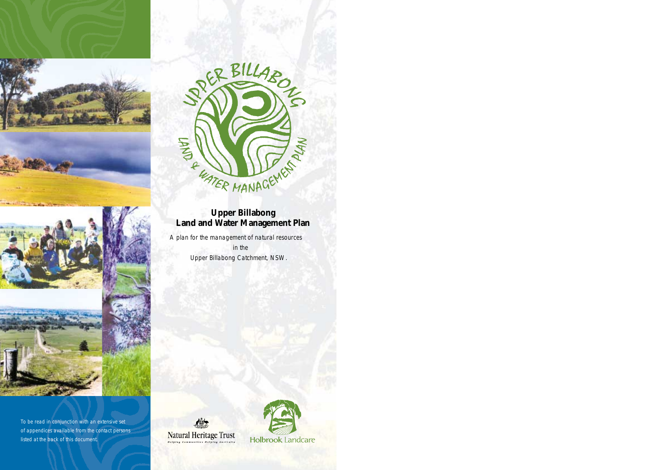





To be read in conjunction with an extensive set of appendices available from the contact persons listed at the back of this document.



## **Upper Billabong Land and Water Management Plan**

A plan for the management of natural resources in the Upper Billabong Catchment, NSW.

**Natural Heritage Trust** 

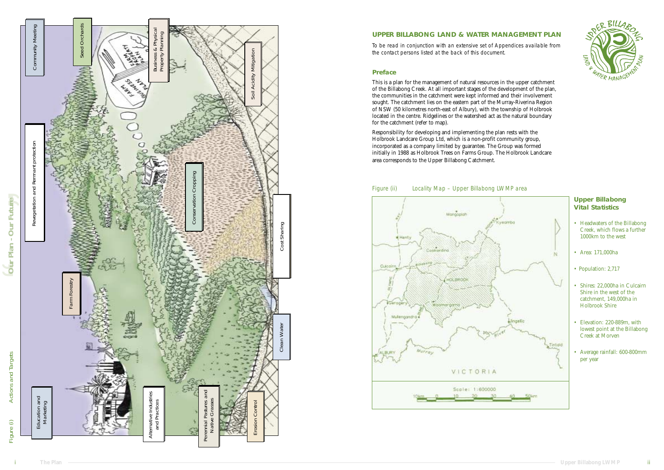#### **UPPER BILLABONG LAND & WATER MANAGEMENT PLAN**

To be read in conjunction with an extensive set of Appendices available from the contact persons listed at the back of this document.

#### **Preface**

This is a plan for the management of natural resources in the upper catchment of the Billabong Creek. At all important stages of the development of the plan, the communities in the catchment were kept informed and their involvement sought. The catchment lies on the eastern part of the Murray-Riverina Region of NSW (50 kilometres north-east of Albury), with the township of Holbrook located in the centre. Ridgelines or the watershed act as the natural boundary for the catchment (refer to map).

Responsibility for developing and implementing the plan rests with the Holbrook Landcare Group Ltd, which is a non-profit community group, incorporated as a company limited by guarantee. The Group was formed initially in 1988 as Holbrook Trees on Farms Group. The Holbrook Landcare area corresponds to the Upper Billabong Catchment.





### **Upper Billabong Vital Statistics**

- Headwaters of the Billabong Creek, which flows a further 1000km to the west
- Area: 171,000ha
- Population: 2,717
- Shires: 22,000ha in Culcairn Shire in the west of the catchment, 149,000ha in Holbrook Shire
- Elevation: 220-889m, with lowest point at the Billabong Creek at Morven
- Average rainfall: 600-800mm per year

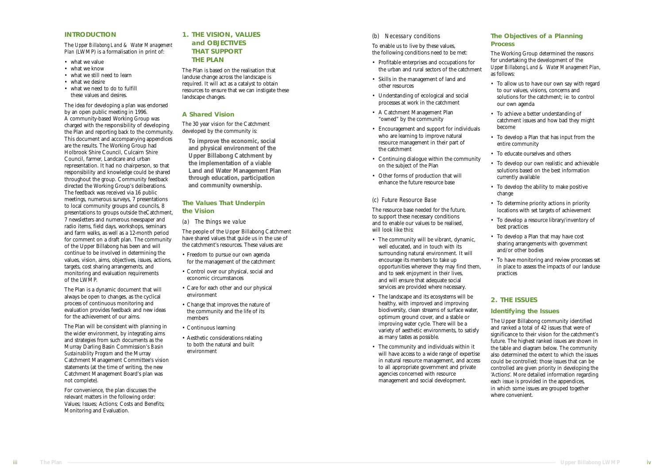#### (b) Necessary conditions

- To enable us to live by these values, the following conditions need to be met:
- Profitable enterprises and occupations for the urban and rural sectors of the catchment
- Skills in the management of land and other resources
- Understanding of ecological and social processes at work in the catchment
- A Catchment Management Plan "owned" by the community
- Encouragement and support for individuals who are learning to improve natural resource management in their part of the catchment
- Continuing dialogue within the community on the subject of the Plan
- Other forms of production that will enhance the future resource base

#### (c) Future Resource Base

The resource base needed for the future, to support these necessary conditions and to enable our values to be realised, will look like this:

- The community will be vibrant, dynamic, well educated, and in touch with its surrounding natural environment. It will encourage its members to take up opportunities wherever they may find them, and to seek enjoyment in their lives, and will ensure that adequate social services are provided where necessary.
- The landscape and its ecosystems will be healthy, with improved and improving biodiversity, clean streams of surface water, optimum ground cover, and a stable or improving water cycle. There will be a variety of aesthetic environments, to satisfy as many tastes as possible.
- The community and individuals within it will have access to a wide range of expertise in natural resource management, and access to all appropriate government and private agencies concerned with resource management and social development.

#### **The Objectives of a Planning Process**

- 
- what we value<br>• what we know
- what we still need to learn what we desire what we need to do to fulfill
- 
- these values and desires.

The Working Group determined the reasons for undertaking the development of the *Upper Billabong Land & Water Management Plan*, as follows:

• To allow us to have our own say with regard to our values, visions, concerns and solutions for the catchment; ie: to control our own agenda

• To achieve a better understanding of catchment issues and how bad they might become

• To develop a Plan that has input from the entire community

• To educate ourselves and others

• To develop our own realistic and achievable solutions based on the best information currently available

• To develop the ability to make positive change

• To determine priority actions in priority locations with set targets of achievement

• To develop a resource library/inventory of best practices

• To develop a Plan that may have cost sharing arrangements with government and/or other bodies

• To have monitoring and review processes set in place to assess the impacts of our landuse practices

#### **2. THE ISSUES**

#### **Identifying the Issues**

The Upper Billabong community identified and ranked a total of 42 issues that were of significance to their vision for the catchment ' s future. The highest ranked issues are shown in the table and diagram below. The community also determined the extent to which the issues could be controlled; those issues that can be controlled are given priority in developing the 'Actions'. More detailed information regarding each issue is provided in the appendices, in which some issues are grouped together where convenient.

- Freedom to pursue our own agenda for the management of the catchment
- Control over our physical, social and economic circumstances
- Care for each other and our physical environment
- Change that improves the nature of the community and the life of its members
- Continuous learning
- Aesthetic considerations relating to both the natural and built environment

#### **INTRODUCTION**

The *Upper Billabong Land & Water Management Plan* (LWMP) is a formalisation in print of:

The idea for developing a plan was endorsed by an open public meeting in 1996. A community-based Working Group was charged with the responsibility of developing the Plan and reporting back to the community. This document and accompanying appendices are the results. The Working Group had Holbrook Shire Council, Culcairn Shire Council, farmer, Landcare and urban representation. It had no chairperson, so that responsibility and knowledge could be shared throughout the group. Community feedback directed the Working Group 's deliberations. The feedback was received via 16 public meetings, numerous surveys, 7 presentations to local community groups and councils, 8 presentations to groups outside theCatchment, 7 newsletters and numerous newspaper and radio items, field days, workshops, seminars and farm walks, as well as a 12-month period for comment on a draft plan. The community of the Upper Billabong has been and will continue to be involved in determining the values, vision, aims, objectives, issues, actions, targets, cost sharing arrangements, and monitoring and evaluation requirements of the LWMP.

The Plan is a dynamic document that will always be open to changes, as the cyclical process of continuous monitoring and evaluation provides feedback and new ideas for the achievement of our aims.

The Plan will be consistent with planning in the wider environment, by integrating aims and strategies from such documents as the Murray Darling Basin Commission 's *Basin Sustainability Program* and the Murray Catchment Management Committee 's vision statements (at the time of writing, the new Catchment Management Board 's plan was not complete).

For convenience, the plan discusses the relevant matters in the following order: Values; Issues; Actions; Costs and Benefits; Monitoring and Evaluation.

#### **1. THE VISION, VALUES and OBJECTIVES THAT SUPPORT THE PLAN**

The Plan is based on the realisation that landuse change across the landscape is required. It will act as a catalyst to obtain resources to ensure that we can instigate these landscape changes.

#### **A Shared Vision**

The 30 year vision for the Catchment developed by the community is:

**To improve the economic, social and physical environment of the Upper Billabong Catchment by the implementation of a viable Land and Water Management Plan through education, participation and community ownership.**

#### **The Values That Underpin the Vision**

(a) The things we value

The people of the Upper Billabong Catchment have shared values that guide us in the use of the catchment 's resources. These values are: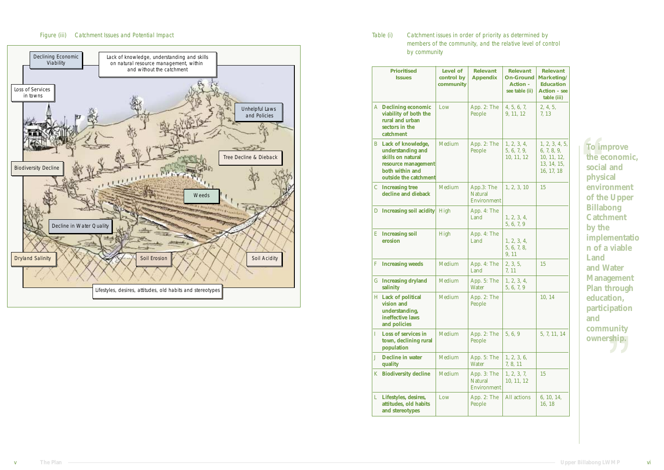Table (i) Catchment issues in order of priority as determined by by community

# members of the community, and the relative level of control

### Figure (iii) Catchment Issues and Potential Impact

|   | <b>Prioritised</b><br><b>Issues</b>                                                                                                      | Level of<br>control by<br>community | <b>Relevant</b><br><b>Appendix</b>                  | <b>Relevant</b><br><b>On-Ground</b><br><b>Action -</b><br>see table (ii) | <b>Relevant</b><br>Marketing/<br><b>Education</b><br>Action - see<br>table (iii) |
|---|------------------------------------------------------------------------------------------------------------------------------------------|-------------------------------------|-----------------------------------------------------|--------------------------------------------------------------------------|----------------------------------------------------------------------------------|
|   | <b>A</b> Declining economic<br>viability of both the<br>rural and urban<br>sectors in the<br>catchment                                   | Low                                 | App. 2: The<br>People                               | 4, 5, 6, 7,<br>9, 11, 12                                                 | 2, 4, 5,<br>7, 13                                                                |
|   | <b>B</b> Lack of knowledge,<br>understanding and<br>skills on natural<br>resource management<br>both within and<br>outside the catchment | Medium                              | App. 2: The<br>People                               | 1, 2, 3, 4,<br>5, 6, 7, 9,<br>10, 11, 12                                 | 1, 2, 3, 4, 5,<br>6, 7, 8, 9,<br>10, 11, 12,<br>13, 14, 15,<br>16, 17, 18        |
|   | <b>C</b> Increasing tree<br>decline and dieback                                                                                          | Medium                              | App.3: The<br><b>Natural</b><br><b>Environment</b>  | 1, 2, 3, 10                                                              | 15                                                                               |
|   | D Increasing soil acidity High                                                                                                           |                                     | App. 4: The<br>Land                                 | 1, 2, 3, 4,<br>5, 6, 7, 9                                                |                                                                                  |
|   | <b>E</b> Increasing soil<br>erosion                                                                                                      | High                                | App. 4: The<br>Land                                 | 1, 2, 3, 4,<br>5, 6, 7, 8,<br>9, 11                                      |                                                                                  |
| F | <b>Increasing weeds</b>                                                                                                                  | Medium                              | App. 4: The<br>Land                                 | 2, 3, 5,<br>7, 11                                                        | 15                                                                               |
|   | <b>G</b> Increasing dryland<br>salinity                                                                                                  | Medium                              | App. 5: The<br><b>Water</b>                         | 1, 2, 3, 4,<br>5, 6, 7, 9                                                |                                                                                  |
|   | H Lack of political<br>vision and<br>understanding,<br>ineffective laws<br>and policies                                                  | Medium                              | App. 2: The<br>People                               |                                                                          | 10, 14                                                                           |
| L | Loss of services in<br>town, declining rural<br>population                                                                               | Medium                              | App. 2: The<br>People                               | 5, 6, 9                                                                  | 5, 7, 11, 14                                                                     |
| J | <b>Decline in water</b><br>quality                                                                                                       | <b>Medium</b>                       | App. 5: The<br><b>Water</b>                         | 1, 2, 3, 6,<br>7, 8, 11                                                  |                                                                                  |
|   | <b>K</b> Biodiversity decline                                                                                                            | Medium                              | App. 3: The<br><b>Natural</b><br><b>Environment</b> | 1, 2, 3, 7,<br>10, 11, 12                                                | 15                                                                               |
|   | L Lifestyles, desires,<br>attitudes, old habits<br>and stereotypes                                                                       | Low                                 | App. 2: The<br>People                               | All actions                                                              | 6, 10, 14,<br>16, 18                                                             |



**To improve the economic, social and physical environment of the Upper Billabong Catchment by the implementatio n of a viable Land and Water Management Plan through education, participation and community ownership.**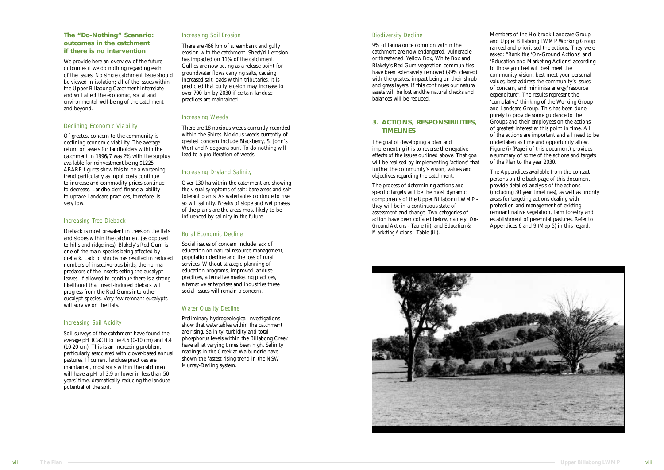#### Biodiversity Decline

9% of fauna once common within the catchment are now endangered, vulnerable or threatened. Yellow Box, White Box and Blakely's Red Gum vegetation communities have been extensively removed (99% cleared) with the greatest impact being on their shrub and grass layers. If this continues our natural assets will be lost andthe natural checks and balances will be reduced.

### **3. ACTIONS, RESPONSIBILITIES, TIMELINES**

The goal of developing a plan and implementing it is to reverse the negative effects of the issues outlined above. That goal will be realised by implementing 'actions' that further the community's vision, values and objectives regarding the catchment.

The process of determining actions and specific targets will be the most dynamic components of the Upper Billabong LWMP they will be in a continuous state of assessment and change. Two categories of action have been collated below, namely: *On-Ground Actions* - Table (ii), and *Education & Marketing Actions* - Table (iii).





The Appendices available from the contact persons on the back page of this document provide detailed analysis of the actions (including 30 year timelines), as well as priority areas for targeting actions dealing with protection and management of existing remnant native vegetation, farm forestry and establishment of perennial pastures. Refer to Appendices 6 and 9 (Map  $\overline{5}$ ) in this regard.

Members of the Holbrook Landcare Group and Upper Billabong LWMP Working Group ranked and prioritised the actions. They were asked: "Rank the 'On-Ground Actions' and 'Education and Marketing Actions' according to those you feel will best meet the community vision, best meet your personal values, best address the community's issues of concern, and minimise energy/resource expenditure ". The results represent the 'cumulative ' thinking of the Working Group and Landcare Group. This has been done purely to provide some guidance to the Groups and their employees on the actions of greatest interest at this point in time. All of the actions are important and all need to be undertaken as time and opportunity allow. Figure (i) (Page i of this document) provides a summary of some of the actions and targets of the Plan to the year 2030.

#### **The "Do-Nothing" Scenario: outcomes in the catchment if there is no intervention**

We provide here an overview of the future outcomes if we do nothing regarding each of the issues. No single catchment issue should be viewed in isolation; all of the issues within the Upper Billabong Catchment interrelate and will affect the economic, social and environmental well-being of the catchment and beyond.

#### Declining Economic Viability

Of greatest concern to the community is declining economic viability. The average return on assets for landholders within the catchment in 1996/7 was 2% with the surplus available for reinvestment being \$1225. ABARE figures show this to be a worsening trend particularly as input costs continue to increase and commodity prices continue to decrease. Landholders' financial ability to uptake Landcare practices, therefore, is very low.

#### Increasing Tree Dieback

Dieback is most prevalent in trees on the flats and slopes within the catchment (as opposed to hills and ridgelines). Blakely's Red Gum is one of the main species being affected by dieback. Lack of shrubs has resulted in reduced numbers of insectivorous birds, the normal predators of the insects eating the eucalypt leaves. If allowed to continue there is a strong likelihood that insect-induced dieback will progress from the Red Gums into other eucalypt species. Very few remnant eucalypts will survive on the flats.

#### Increasing Soil Acidity

Soil surveys of the catchment have found the average pH (CaCl) to be 4.6 (0-10 cm) and 4.4 (10-20 cm). This is an increasing problem, particularly associated with clover-based annual pastures. If current landuse practices are maintained, most soils within the catchment will have a pH of 3.9 or lower in less than 50 years' time, dramatically reducing the landuse potential of the soil.

#### Increasing Soil Erosion

There are 466 km of streambank and gully erosion with the catchment. Sheet/rill erosion has impacted on 11% of the catchment. Gullies are now acting as a release point for groundwater flows carrying salts, causing increased salt loads within tributaries. It is predicted that gully erosion may increase to over 700 km by 2030 if certain landuse practices are maintained.

#### Increasing Weeds

There are 18 noxious weeds currently recorded within the Shires. Noxious weeds currently of greatest concern include Blackberry, St John ' s Wort and Noogoora burr. To do nothing will lead to a proliferation of weeds.

#### Increasing Dryland Salinity

Over 130 ha within the catchment are showing the visual symptoms of salt: bare areas and salt tolerant plants. As watertables continue to rise so will salinity. Breaks of slope and wet phases of the plains are the areas most likely to be influenced by salinity in the future.

#### Rural Economic Decline

Social issues of concern include lack of education on natural resource management, population decline and the loss of rural services. Without strategic planning of education programs, improved landuse practices, alternative marketing practices, alternative enterprises and industries these social issues will remain a concern.

#### Water Quality Decline

Preliminary hydrogeological investigations show that watertables within the catchment are rising. Salinity, turbidity and total phosphorus levels within the Billabong Creek have all at varying times been high. Salinity readings in the Creek at Walbundrie have shown the fastest rising trend in the NSW Murray-Darling system.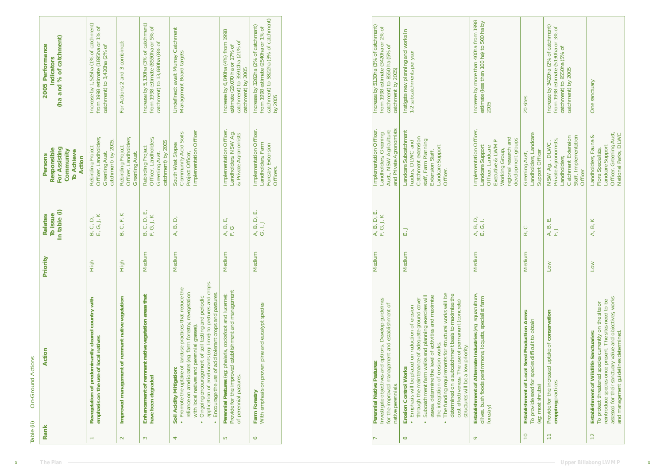| Table (ii)<br>Rank | Action<br><b>On-Ground Actions</b>                                                                                                                                                                                                                                                                                                                                             | Priority   | <b>Relates</b>              | <b>Persons</b>                                                                          | 2005 Performance                                                                                                                 |
|--------------------|--------------------------------------------------------------------------------------------------------------------------------------------------------------------------------------------------------------------------------------------------------------------------------------------------------------------------------------------------------------------------------|------------|-----------------------------|-----------------------------------------------------------------------------------------|----------------------------------------------------------------------------------------------------------------------------------|
|                    |                                                                                                                                                                                                                                                                                                                                                                                |            | In table (i)<br>To issue    | For Assisting<br>Responsible<br>Community<br><b>To Achieve</b><br>Action                | (ha and % of catchment)<br><b>Indicators</b>                                                                                     |
|                    | Revegetation of predominantly cleared country with<br>emphasis on the use of local natives                                                                                                                                                                                                                                                                                     | High       | E, G, J, K<br>Ο,<br>Ο<br>B. | Officer, Landholders,<br>catchment) by 2005.<br>Rebirding Project<br>Greening Aust.     | Increase by 1,525ha (1% of catchment)<br>from 1998 estimate (1895ha or 1% of<br>catchment) to 3,420ha (2% of                     |
| 2                  | Improved management of remnant native vegetation                                                                                                                                                                                                                                                                                                                               | High       | B, C, F, K                  | Officer, Landholders,<br>Rebirding Project<br>Greening Aust.                            | For Actions 2 and 3 combined:                                                                                                    |
| 3                  | Enhancement of remnant native vegetation areas that<br>have been degraded                                                                                                                                                                                                                                                                                                      | Medium     | B, C, D, E,<br>F, G, J, K   | Officer, Landholders,<br>catchment) by 2005<br>Rebirding Project<br>Greening Aust.      | Increase by 5,130ha (3% of catchment)<br>from 1998 estimate (8550ha or 5% of<br>catchment) to 13,680ha (8% of                    |
| 4                  | application of ameliorants (eg: lime) to pastures and crops.<br>• Promote the uptake of landuse practices that reduce the<br>reliance on ameliorates (eg: farm forestry, revegetation<br>Encourage the use of acid tolerant crops and pastures.<br>Ongoing encouragement of soil testing and periodic<br>with local natives and perennial grasses)<br>Soil Acidity Mitigation: | dium<br>Мe | A, B, D,                    | Implementation Officer<br>Community Acid Soils<br>South West Slopes<br>Project Officer, | Undefined: await Murray Catchment<br>Management Board targets                                                                    |
| S                  | Provide for the improved establishment and management<br>Perennial Pastures (eg: phalaris, cocksfoot and lucerne):<br>of perennial pastures.                                                                                                                                                                                                                                   | Medium     | A, B, E,<br>E, G            | Implementation Officer,<br>Landholders, NSW Ag.<br>& Private Agronomists                | Increase by 6,840ha (4%) from 1998<br>catchment) to 35910ha (21% of<br>estimate (29,070 ha or 17% of<br>catchment) by 2005       |
| မ                  | With emphasis on proven pine and eucalypt species<br><b>Farm Forestry</b>                                                                                                                                                                                                                                                                                                      | Medium     | A, B, D, E,<br>G, I, J      | Implementation Officer,<br>Landholders, Farm<br><b>Forestry Extension</b><br>Officers.  | catchment) to 5822ha (3% of catchment)<br>Increase by 3282ha (2% of catchment)<br>from 1998 estimate (2540ha or 1% of<br>by 2005 |

| Investigate objectives and options. Develop guidelines<br>for the improved management and establishment of<br>Perennial Native Pastures:                                                                                                                                                                                                                                                                                                                                                                                    | Medium | A, B, D, E,<br>F, G, J, K | Implementation Officer,<br>Aust., NSW Agriculture<br>Landholders, Greening                                                                                                      | Increase by 5130ha (3% of catchment)<br>from 1998 estimate (3420ha or 2% of<br>catchment) to 8550 ha (5% of |
|-----------------------------------------------------------------------------------------------------------------------------------------------------------------------------------------------------------------------------------------------------------------------------------------------------------------------------------------------------------------------------------------------------------------------------------------------------------------------------------------------------------------------------|--------|---------------------------|---------------------------------------------------------------------------------------------------------------------------------------------------------------------------------|-------------------------------------------------------------------------------------------------------------|
| The funding requirements for structural works will be<br>determined on a subcatchment basis to maximise the<br>Subcatchment farm walks and planning exercises will<br>assess, determine the level of activities and maximise<br>through the maintenance of adequate ground cover<br>cost effectiveness. The use of permanent (concrete)<br>Emphasis will be placed on reduction of erosion<br>the integration of erosion works.<br>structures will be a low priority.<br><b>Erosion Control Works</b><br>native perennials. | Medium | E,                        | and Private Agronomists<br>Landcare Subcatchment<br>Catchment extension<br>staff, Farm Planning<br>leaders, DLWC and<br>Landcare Support<br><b>Extension Staff,</b><br>Officer. | Instigate new planning and works in<br>1-2 subcatchments per year<br>catchment by 2005)                     |
| Establishment of Alternate Industries (eg: aquaculture,<br>olives, bush foods persimmons, loquats, specialist farm<br>forestry)                                                                                                                                                                                                                                                                                                                                                                                             | Medium | A, B, D,<br>E, G, I,      | Implementation Officer,<br>Executive & LWMP<br>Landcare Support<br>Officer, Landcare<br>Working Group,                                                                          | Increase by more than 400ha from 1998<br>estimate (less than 100 ha) to 500 ha by<br>2005                   |

|                 |                                                                                                                                                                                                                                                                        |        |          | regional research and<br>development groups<br>Working Group,                                                            |                                                                                                                                  |
|-----------------|------------------------------------------------------------------------------------------------------------------------------------------------------------------------------------------------------------------------------------------------------------------------|--------|----------|--------------------------------------------------------------------------------------------------------------------------|----------------------------------------------------------------------------------------------------------------------------------|
| $\overline{10}$ | Establishment of Local Seed Production Areas:<br>To provide seed for species difficult to obtain<br>(eg: most shrubs)                                                                                                                                                  | Medium | B, C     | Landholders, Landcare<br><b>Support Officer</b><br>Greening Aust,                                                        | 20 sites                                                                                                                         |
|                 | Provide for the increased uptake of conservation<br>cropping practices.                                                                                                                                                                                                | Low    | A, B, E, | Staff, Implementation<br><b>Catchment Extension</b><br>Private Agronomists,<br>NSW Ag., DLWC,<br>Landholders,<br>Officer | Increase by 3420ha (2% of catchment)<br>from 1998 estimate (5130ha or 3% of<br>catchment) to 8550ha (5% of<br>catchment) by 2005 |
| $\frac{2}{3}$   | assessed for their sanctuary value and objectives, works<br>reintroduce species once present. The sites need to be<br>To protect threatened species currently on the site or<br>and management guidelines determined.<br><b>Establishment of Wildlife Sanctuaries:</b> | Low    | A, B, K  | National Parks, DLWC<br>Officer, Greening Aust,<br>Landholders, Fauna &<br>Landcare Support<br>Flora Specialists,        | One sanctuary                                                                                                                    |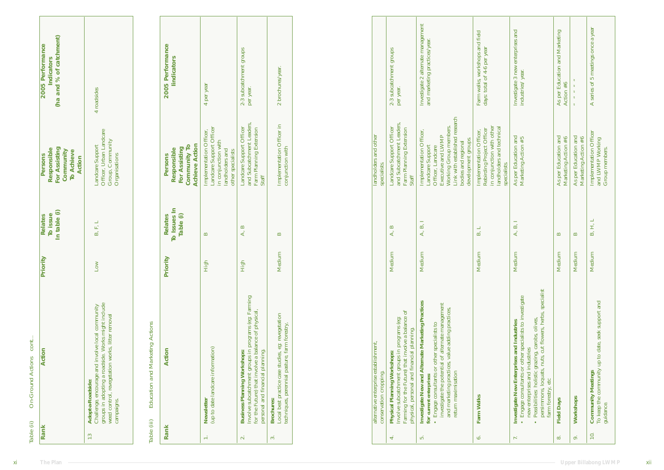|                          |                                                                                                                                                                                                                                                                                                                                                    |                                 | In table (i)                                               | For Assisting<br>Persons<br>Responsible<br><b>Community</b><br>To Achieve<br>Action                                                                                                                                           | (ha and % of catchment)<br>2005 Performance<br>Indicators        |
|--------------------------|----------------------------------------------------------------------------------------------------------------------------------------------------------------------------------------------------------------------------------------------------------------------------------------------------------------------------------------------------|---------------------------------|------------------------------------------------------------|-------------------------------------------------------------------------------------------------------------------------------------------------------------------------------------------------------------------------------|------------------------------------------------------------------|
| 13                       | <b>Adopt-a-Roadside:</b><br>Challenge, encourage and involve local community<br>groups in adopting a roadside. Works might include<br>weed control, revegetation works, litter removal<br>campaigns.                                                                                                                                               | $\geq$<br>$\overline{\text{L}}$ | $\overline{\phantom{0}}$<br>$\mathbb{H}^2$<br>$\mathbf{B}$ | Landcare Support<br>Officer, Urban Landcare<br>Group, Community<br>Organisations                                                                                                                                              | 4 roadsides                                                      |
|                          | Actions<br>Education and Marketing<br>Table (iii)                                                                                                                                                                                                                                                                                                  |                                 |                                                            |                                                                                                                                                                                                                               |                                                                  |
| Rank                     | Action                                                                                                                                                                                                                                                                                                                                             | Priority                        | 읔<br>Table (i)<br><b>Relates</b><br>To Issues              | <b>Community To</b><br>Achieve Action<br>For Assisting<br>Responsible<br>Persons                                                                                                                                              | 2005 Performance<br>lindicators                                  |
| $\div$                   | Newsletter<br>(up to date landcare information)                                                                                                                                                                                                                                                                                                    | High                            | $\mathbf{m}$                                               | Implementation Officer,<br>Landcare Support Officer<br>in conjunction with<br>landholders and<br>other specialists                                                                                                            | 4 per year                                                       |
| $\mathbf{a}$             | Involve subcatchment groups in programs (eg: Farming<br>for the Future) that involve a balance of physical,<br>personal and financial planning.<br>Workshops:<br><b>Business Planning</b>                                                                                                                                                          | High                            | $\mathbf{B}$<br>A,                                         | Leaders,<br>Landcare Support Officer<br>and Subcatchment Leaders,<br>Farm Planning Extension<br>Staff                                                                                                                         | groups<br>subcatchment<br>per year.<br>$2-3$                     |
| $\sim$                   | Local best practice case studies, eg: revegetation<br>techniques, perennial pasture, farm forestry,<br><b>Brochures</b>                                                                                                                                                                                                                            | sdium<br>Ne                     | $\mathbf{p}$                                               | Implementation Officer in<br>conjunction with                                                                                                                                                                                 | brochures/year.<br>$\overline{\mathbf{c}}$                       |
|                          | alternative enterprise establishment,<br>conservation cropping                                                                                                                                                                                                                                                                                     |                                 |                                                            | landholders and other<br>specialists.                                                                                                                                                                                         |                                                                  |
| $\overline{\mathbf{r}}$  | ðf<br><b>Physical Planning Workshops:</b><br>Involve subcatchment groups in programs (eg:<br>Farming for the Future) that involve a balance<br>physical, personal and financial planning.                                                                                                                                                          | dium<br><b>Me</b>               | $\mathbf{p}$<br>Ą,                                         | Landcare Support Officer<br>and Subcatchment Leaders,<br>Farm Planning Extension<br>Staff                                                                                                                                     | subcatchment groups<br>year.<br>per<br>$2-3$                     |
| ξ.                       | <b>Marketing Practices</b><br>Engage consultants or other specialists to<br>investigate the potential of alternate management<br>and marketing practices, value adding practices,<br>return maximisation<br>Investigate New and Alternate<br>for current enterprises:                                                                              | dium<br>Мe                      | $\overline{}$<br>$\mathbf{p}$<br>A,                        | Implementation Officer,<br>Landcare Support<br>Officer, Landcare<br>Executive and LWMP<br>Executive and LWMP<br>Link with established research<br>Link with established research<br>bodies and regional<br>development groups | Investigate 2 alternate management and marketing practices/year. |
| 6.                       | Farm Walks                                                                                                                                                                                                                                                                                                                                         | dium<br>$\mathbb{N}$            | $\overline{\phantom{0}}$<br>$\mathbf{z}$                   | in conjunction with other<br>landholders and technical<br>er<br>Implementation Officer,<br>Rebirding Project Officer<br>specialists.                                                                                          | Farm walks, workshops and field<br>days: total of 4-6 per year   |
| $\overline{\phantom{m}}$ | specialist<br>Investigate New Enterprises and Industries<br>• Engage consultants or other specialists to investigate<br>new enterprises and industries<br>• Possibilities: holistic grazing, carobs, olives,<br>• Possibilities: holistic grazing, carob<br>cut flowers, herbs,<br>persimmons, loquats, nuts,<br>farm forestry, etc<br><b>Anse</b> | dium<br>Ne                      | $\overline{\phantom{0}}$<br>$\mathbf{p}$<br>4              | As per Education and Marketing Action $\#5$                                                                                                                                                                                   | enterprises<br>3 new<br>year.<br>Investigate :<br>industries/    |
| $\infty$                 | <b>Field Days</b>                                                                                                                                                                                                                                                                                                                                  | dium<br>$\mathbf{M}$            | $\mathbf{m}$                                               | As per Education and Marketing Action $\#6$                                                                                                                                                                                   | As per Education and Marketing Action $\#6$                      |
| $\mathbf{e}$             | Workshops                                                                                                                                                                                                                                                                                                                                          | dium<br>Ме                      | $\mathbf{p}$                                               | As per Education and Marketing Action $\#6$                                                                                                                                                                                   |                                                                  |
| 10                       | seek support and<br><b>Community Meetings</b><br>To keep the community up to date,<br>guidance.                                                                                                                                                                                                                                                    | dium<br><b>Ne</b>               | $\overline{\phantom{0}}$<br>H,<br>$\mathbf{B}$             | Implementation Officer<br>and LWMP Working<br>Group members.                                                                                                                                                                  | a year<br>once<br>meetings<br>of 5<br>series<br>$\blacktriangle$ |

| persimmons, loquats, nuts, cut flowers, herbs, specialist<br>Engage consultants or other specialists to investigate<br>Possibilities: holistic grazing, carobs, olives,<br>Investigate New Enterprises and Industries<br>new enterprises and industries<br>farm forestry, etc | Medium | A, B, I | As per Education and<br>Marketing Action #5                         | Investigate 3 new enterprises and<br>industries/year. |
|-------------------------------------------------------------------------------------------------------------------------------------------------------------------------------------------------------------------------------------------------------------------------------|--------|---------|---------------------------------------------------------------------|-------------------------------------------------------|
| <b>Field Days</b>                                                                                                                                                                                                                                                             | Medium | R       | As per Education and<br>Marketing Action #6                         | As per Education and Marketing<br>Action #6           |
| Workshops                                                                                                                                                                                                                                                                     | Medium |         | As per Education and<br>Marketing Action #6                         |                                                       |
| To keep the community up to date, seek support and<br><b>Community Meetings</b><br>guidance.                                                                                                                                                                                  | Medium | B, H, L | <b>Implementation Officer</b><br>and LWMP Working<br>Group members. | A series of 5 meetings once a year                    |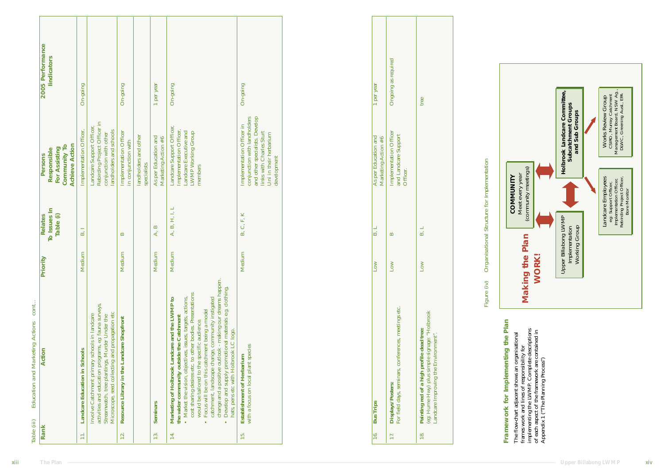| required<br>as<br>year<br>On-going<br>On-going<br>On-going<br>per year<br>$On-going$<br>Ongoing<br>per<br>tree<br>$\overline{\phantom{0}}$<br>Implementation Officer in<br>conjunction with landholders<br>and other specialists. Develop<br>links with Charles Sturt<br>Uni in their herbarium<br>development<br>Landcare Support Officer,<br>Rebirding Project Officer in<br>conjunction with other<br>landholders and schools<br>Landcare Support Officer,<br>Implementation Officer,<br>Landcare Executive and<br>LWMP Working Group<br>members<br>Implementation Officer,<br>er<br>Implementation Officer<br>in conjunction with<br>Implementation Officer<br>and Landcare Support<br>Officer.<br>landholders and other<br>As per Education and Marketing Action $\#6$<br>As per Education and Marketing Action $\#6$<br>specialists.<br>$\overline{\phantom{0}}$<br>$\mathbf{H}, \mathbf{I},$<br>K<br>$\mathbb{H}^*$<br>A, B,<br>$\mathcal{C}$<br>$\mathbf{p}$<br>$\overline{\phantom{0}}$<br>$\overline{\phantom{0}}$<br>$\mathbf{E}$<br>A,<br>$\mathbf{B}$<br>ΔÓ<br>$\mathbf{E}$<br>$\mathbf{m}$<br>$\mathbf{p}$<br>aunibe<br>Medium<br>Medium<br>Medium<br>Medium<br>$\geq$<br>$\geq$<br>Low<br>$\mathbb{M}$<br>$\overline{\mathsf{L}}$<br>$\overline{\mathsf{L}}$<br>Marketing of Holbrook Landcare and the LWMP to<br>the wider community outside the Catchment<br>$\bullet$ Market the vision, objectives, issues, targets, actions,<br>cost sharing desires etc. to other bodies. Presentations<br>would be<br>Involve Catchment primary schools in landcare<br>activities and education programs, eg: fauna surveys,<br>Streamwatch, tree plantings, Murder Under the<br>Microscope, seed collecting and propagation etc<br>Displays/Posters:<br>For field days, seminars, conferences, meetings etc.<br>Painting red of a high profile dead tree:<br>(eg: Hume Hwy) plus simple signage: "Holbrook<br>Landcare Improving the Environment".<br>Resource Library in the Landcare Shopfront<br><b>Establishment of Herbarium</b><br>with a focus on local plant species<br>Landcare Education in Schools<br><b>Seminars</b><br>Trips<br><b>Bus</b> |                           |  | $\mathbf{z}$<br>Table (i)<br>To Issues                                                                              | <b>Achieve Action</b><br>$\mathbf{S}$<br>Responsible<br>For Assisting<br>Community                       | 2005 Performance<br>lindicators |
|----------------------------------------------------------------------------------------------------------------------------------------------------------------------------------------------------------------------------------------------------------------------------------------------------------------------------------------------------------------------------------------------------------------------------------------------------------------------------------------------------------------------------------------------------------------------------------------------------------------------------------------------------------------------------------------------------------------------------------------------------------------------------------------------------------------------------------------------------------------------------------------------------------------------------------------------------------------------------------------------------------------------------------------------------------------------------------------------------------------------------------------------------------------------------------------------------------------------------------------------------------------------------------------------------------------------------------------------------------------------------------------------------------------------------------------------------------------------------------------------------------------------------------------------------------------------------------------------------------------------------------------------------------------------------------------------------------------------------------------------------------------------------------------------------------------------------------------------------------------------------------------------------------------------------------------------------------------------------------------------------------------------------------------------------------------------------------------------------------------------------------------------------------------|---------------------------|--|---------------------------------------------------------------------------------------------------------------------|----------------------------------------------------------------------------------------------------------|---------------------------------|
|                                                                                                                                                                                                                                                                                                                                                                                                                                                                                                                                                                                                                                                                                                                                                                                                                                                                                                                                                                                                                                                                                                                                                                                                                                                                                                                                                                                                                                                                                                                                                                                                                                                                                                                                                                                                                                                                                                                                                                                                                                                                                                                                                                | $\Xi$                     |  |                                                                                                                     |                                                                                                          |                                 |
|                                                                                                                                                                                                                                                                                                                                                                                                                                                                                                                                                                                                                                                                                                                                                                                                                                                                                                                                                                                                                                                                                                                                                                                                                                                                                                                                                                                                                                                                                                                                                                                                                                                                                                                                                                                                                                                                                                                                                                                                                                                                                                                                                                |                           |  |                                                                                                                     |                                                                                                          |                                 |
|                                                                                                                                                                                                                                                                                                                                                                                                                                                                                                                                                                                                                                                                                                                                                                                                                                                                                                                                                                                                                                                                                                                                                                                                                                                                                                                                                                                                                                                                                                                                                                                                                                                                                                                                                                                                                                                                                                                                                                                                                                                                                                                                                                | $\overline{12}$           |  |                                                                                                                     |                                                                                                          |                                 |
|                                                                                                                                                                                                                                                                                                                                                                                                                                                                                                                                                                                                                                                                                                                                                                                                                                                                                                                                                                                                                                                                                                                                                                                                                                                                                                                                                                                                                                                                                                                                                                                                                                                                                                                                                                                                                                                                                                                                                                                                                                                                                                                                                                |                           |  |                                                                                                                     |                                                                                                          |                                 |
|                                                                                                                                                                                                                                                                                                                                                                                                                                                                                                                                                                                                                                                                                                                                                                                                                                                                                                                                                                                                                                                                                                                                                                                                                                                                                                                                                                                                                                                                                                                                                                                                                                                                                                                                                                                                                                                                                                                                                                                                                                                                                                                                                                | 13                        |  |                                                                                                                     |                                                                                                          |                                 |
|                                                                                                                                                                                                                                                                                                                                                                                                                                                                                                                                                                                                                                                                                                                                                                                                                                                                                                                                                                                                                                                                                                                                                                                                                                                                                                                                                                                                                                                                                                                                                                                                                                                                                                                                                                                                                                                                                                                                                                                                                                                                                                                                                                | 14.                       |  |                                                                                                                     |                                                                                                          |                                 |
|                                                                                                                                                                                                                                                                                                                                                                                                                                                                                                                                                                                                                                                                                                                                                                                                                                                                                                                                                                                                                                                                                                                                                                                                                                                                                                                                                                                                                                                                                                                                                                                                                                                                                                                                                                                                                                                                                                                                                                                                                                                                                                                                                                | 15.                       |  |                                                                                                                     |                                                                                                          |                                 |
|                                                                                                                                                                                                                                                                                                                                                                                                                                                                                                                                                                                                                                                                                                                                                                                                                                                                                                                                                                                                                                                                                                                                                                                                                                                                                                                                                                                                                                                                                                                                                                                                                                                                                                                                                                                                                                                                                                                                                                                                                                                                                                                                                                | $\overline{\phantom{16}}$ |  |                                                                                                                     |                                                                                                          |                                 |
|                                                                                                                                                                                                                                                                                                                                                                                                                                                                                                                                                                                                                                                                                                                                                                                                                                                                                                                                                                                                                                                                                                                                                                                                                                                                                                                                                                                                                                                                                                                                                                                                                                                                                                                                                                                                                                                                                                                                                                                                                                                                                                                                                                |                           |  |                                                                                                                     |                                                                                                          |                                 |
|                                                                                                                                                                                                                                                                                                                                                                                                                                                                                                                                                                                                                                                                                                                                                                                                                                                                                                                                                                                                                                                                                                                                                                                                                                                                                                                                                                                                                                                                                                                                                                                                                                                                                                                                                                                                                                                                                                                                                                                                                                                                                                                                                                |                           |  |                                                                                                                     |                                                                                                          |                                 |
|                                                                                                                                                                                                                                                                                                                                                                                                                                                                                                                                                                                                                                                                                                                                                                                                                                                                                                                                                                                                                                                                                                                                                                                                                                                                                                                                                                                                                                                                                                                                                                                                                                                                                                                                                                                                                                                                                                                                                                                                                                                                                                                                                                |                           |  |                                                                                                                     |                                                                                                          |                                 |
| Meet every year<br>(community meetings)<br>COMMUNITY<br><b>Making the Plan</b><br><b>WORK!</b><br>Framework for Implementing the Plan<br>The flow-chart adjacent shows an organisational frames work and lines of responsibility for implementing the LWMP. Complete descriptions of each aspect of the framework are contained in Appendix 1 ("The Planning Process")                                                                                                                                                                                                                                                                                                                                                                                                                                                                                                                                                                                                                                                                                                                                                                                                                                                                                                                                                                                                                                                                                                                                                                                                                                                                                                                                                                                                                                                                                                                                                                                                                                                                                                                                                                                         |                           |  |                                                                                                                     |                                                                                                          |                                 |
| Holbrook Landcare Committee<br>Subcatchment Groups<br>and Sub Groups<br>Upper Billabong LWMP<br>Implementation<br>Working Group                                                                                                                                                                                                                                                                                                                                                                                                                                                                                                                                                                                                                                                                                                                                                                                                                                                                                                                                                                                                                                                                                                                                                                                                                                                                                                                                                                                                                                                                                                                                                                                                                                                                                                                                                                                                                                                                                                                                                                                                                                |                           |  | Landcare Employees<br>eg: Support Officer,<br>Implementation Officer,<br>Rebirding Project Officer,<br>Bore Monitor | Works Review Group<br>CSIRO, Murray Catchment<br>Management Board, NSW Ag.,<br>DIWC, Greening Aust., EPA |                                 |

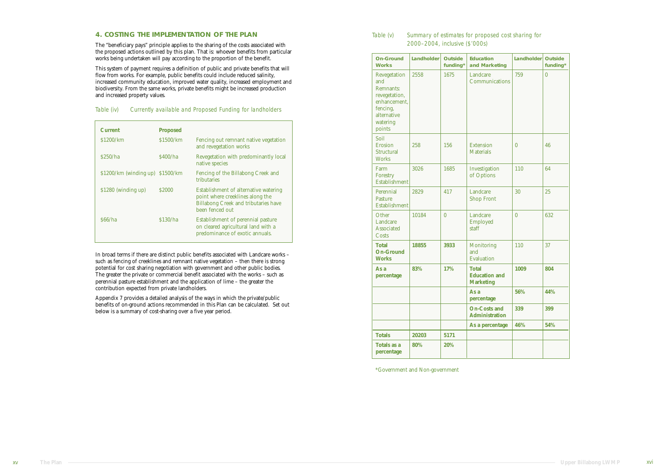| <b>On-Ground</b><br>Landholder<br><b>Education</b><br><b>Outside</b><br><b>Works</b><br>funding*<br>and Marketing         |       | Landholder | <b>Outside</b><br>funding*                               |              |          |
|---------------------------------------------------------------------------------------------------------------------------|-------|------------|----------------------------------------------------------|--------------|----------|
| Revegetation<br>and<br><b>Remnants:</b><br>revegetation,<br>enhancement.<br>fencing,<br>alternative<br>watering<br>points | 2558  | 1675       | Landcare<br>Communications                               | 759          | $\bf{0}$ |
| Soil<br><b>Erosion</b><br><b>Structural</b><br><b>Works</b>                                                               | 258   | 156        | <b>Extension</b><br><b>Materials</b>                     | $\mathbf{0}$ | 46       |
| Farm<br>Forestry<br><b>Establishment</b>                                                                                  | 3026  | 1685       | Investigation<br>of Options                              | 110          | 64       |
| Perennial<br>Pasture<br><b>Establishment</b>                                                                              | 2829  | 417        | Landcare<br><b>Shop Front</b>                            | 30           | 25       |
| Other<br>Landcare<br><b>Associated</b><br>Costs                                                                           | 10184 | $\bf{0}$   | Landcare<br><b>Employed</b><br>staff                     | $\bf{0}$     | 632      |
| <b>Total</b><br><b>On-Ground</b><br><b>Works</b>                                                                          | 18855 | 3933       | <b>Monitoring</b><br>and<br>Evaluation                   | 110          | 37       |
| As a<br>percentage                                                                                                        | 83%   | 17%        | <b>Total</b><br><b>Education and</b><br><b>Marketing</b> | 1009         | 804      |
|                                                                                                                           |       |            | As a<br>percentage                                       | 56%          | 44%      |
|                                                                                                                           |       |            | <b>On-Costs and</b><br><b>Administration</b>             | 339          | 399      |
|                                                                                                                           |       |            | As a percentage                                          | 46%          | 54%      |
| <b>Totals</b>                                                                                                             | 20203 | 5171       |                                                          |              |          |
| <b>Totals as a</b><br>percentage                                                                                          | 80%   | 20%        |                                                          |              |          |

\*Government and Non-government

| Table (v) | Summary of estimates for proposed cost sharing for |
|-----------|----------------------------------------------------|
|           | 2000-2004, inclusive (\$'000s)                     |

In broad terms if there are distinct public benefits associated with Landcare works – such as fencing of creeklines and remnant native vegetation – then there is strong potential for cost sharing negotiation with government and other public bodies. The greater the private or commercial benefit associated with the works – such as perennial pasture establishment and the application of lime – the greater the contribution expected from private landholders.

Appendix 7 provides a detailed analysis of the ways in which the private/public benefits of on-ground actions recommended in this Plan can be calculated. Set out below is a summary of cost-sharing over a five year period.

#### **4. COSTING THE IMPLEMENTATION OF THE PLAN**

The "beneficiary pays" principle applies to the sharing of the costs associated with the proposed actions outlined by this plan. That is: whoever benefits from particular works being undertaken will pay according to the proportion of the benefit.

This system of payment requires a definition of public and private benefits that will flow from works. For example, public benefits could include reduced salinity, increased community education, improved water quality, increased employment and biodiversity. From the same works, private benefits might be increased production and increased property values.

| <b>Current</b>                   | <b>Proposed</b> |                                                                                                                                             |
|----------------------------------|-----------------|---------------------------------------------------------------------------------------------------------------------------------------------|
| \$1200/km                        | \$1500/km       | Fencing out remnant native vegetation<br>and revegetation works                                                                             |
| \$250/ha                         | \$400/ha        | Revegetation with predominantly local<br>native species                                                                                     |
| \$1200/km (winding up) \$1500/km |                 | Fencing of the Billabong Creek and<br>tributaries                                                                                           |
| \$1280 (winding up)              | \$2000          | Establishment of alternative watering<br>point where creeklines along the<br><b>Billabong Creek and tributaries have</b><br>been fenced out |
| S66/ha                           | \$130/ha        | Establishment of perennial pasture<br>on cleared agricultural land with a<br>predominance of exotic annuals.                                |

#### Table (iv) Currently available and Proposed Funding for landholders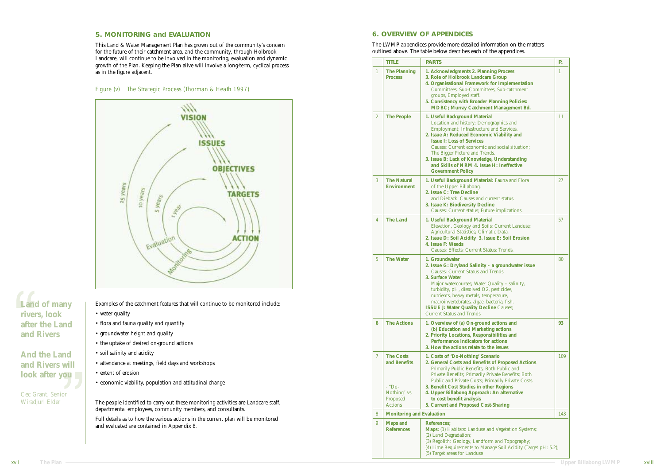#### **5. MONITORING and EVALUATION**

This Land & Water Management Plan has grown out of the community's concern for the future of their catchment area, and the community, through Holbrook Landcare, will continue to be involved in the monitoring, evaluation and dynamic growth of the Plan. Keeping the Plan alive will involve a long-term, cyclical process as in the figure adjacent.



• flora and fauna quality and quantity

• groundwater height and quality

• the uptake of desired on-ground actions

• soil salinity and acidity

• attendance at meetings, field days and workshops

• extent of erosion

• economic viability, population and attitudinal change

The people identified to carry out these monitoring activities are Landcare staff,

departmental employees, community members, and consultants.

Full details as to how the various actions in the current plan will be monitored

and evaluated are contained in Appendix 8.

#### **6. OVERVIEW OF APPENDICES**

The LWMP appendices provide more detailed information on the matters outlined above. The table below describes each of the appendices.

|                 | TITLE                                                                                   | T T<br><b>PARTS</b>                                                                                                                                                                                                                                                                                                                                                                                                | Р.           |
|-----------------|-----------------------------------------------------------------------------------------|--------------------------------------------------------------------------------------------------------------------------------------------------------------------------------------------------------------------------------------------------------------------------------------------------------------------------------------------------------------------------------------------------------------------|--------------|
| $\mathbf{1}$    | <b>The Planning</b><br><b>Process</b>                                                   | 1. Acknowledgments 2. Planning Process<br>3. Role of Holbrook Landcare Group<br>4. Organisational Framework for Implementation<br>Committees, Sub-Committees, Sub-catchment<br>groups, Employed staff.<br>5. Consistency with Broader Planning Policies:<br><b>MDBC</b> ; Murray Catchment Management Bd.                                                                                                          | $\mathbf{1}$ |
| $\mathbf{2}$    | <b>The People</b>                                                                       | 1. Useful Background Material<br>Location and history; Demographics and<br>Employment; Infrastructure and Services.<br>2. Issue A: Reduced Economic Viability and<br><b>Issue I: Loss of Services</b><br>Causes; Current economic and social situation;<br>The Bigger Picture and Trends.<br>3. Issue B: Lack of Knowledge, Understanding<br>and Skills of NRM 4. Issue H: Ineffective<br><b>Government Policy</b> | 11           |
| 3               | <b>The Natural</b><br><b>Environment</b>                                                | 1. Useful Background Material: Fauna and Flora<br>of the Upper Billabong.<br>2. Issue C: Tree Decline<br>and Dieback Causes and current status.<br>3. Issue K: Biodiversity Decline<br>Causes; Current status; Future implications.                                                                                                                                                                                | 27           |
| 4               | <b>The Land</b>                                                                         | 1. Useful Background Material<br>Elevation, Geology and Soils; Current Landuse;<br>Agricultural Statistics; Climatic Data.<br>2. Issue D: Soil Acidity 3. Issue E: Soil Erosion<br>4. Issue F: Weeds<br>Causes; Effects; Current Status; Trends.                                                                                                                                                                   | 57           |
| $5\overline{)}$ | <b>The Water</b>                                                                        | 1. Groundwater<br>2. Issue G: Dryland Salinity - a groundwater issue<br><b>Causes: Current Status and Trends</b><br>3. Surface Water<br>Major watercourses; Water Quality - salinity,<br>turbidity, pH, dissolved O2, pesticides,<br>nutrients, heavy metals, temperature,<br>macroinvertebrates, algae, bacteria, fish.<br><b>ISSUE J: Water Quality Decline Causes;</b><br><b>Current Status and Trends</b>      | 80           |
| 6               | <b>The Actions</b>                                                                      | 1. Overview of (a) On-ground actions and<br>(b) Education and Marketing actions<br>2. Priority Locations, Responsibilities and<br><b>Performance Indicators for actions</b><br>3. How the actions relate to the issues                                                                                                                                                                                             | 93           |
| 7               | <b>The Costs</b><br>and Benefits<br>- "Do-<br>Nothing" vs<br>Proposed<br><b>Actions</b> | 1. Costs of 'Do-Nothing' Scenario<br>2. General Costs and Benefits of Proposed Actions<br>Primarily Public Benefits; Both Public and<br>Private Benefits; Primarily Private Benefits; Both<br>Public and Private Costs; Primarily Private Costs.<br>3. Benefit Cost Studies in other Regions<br>4. Upper Billabong Approach: An alternative<br>to cost benefit analysis<br>5. Current and Proposed Cost-Sharing    | 109          |
| 8               | <b>Monitoring and Evaluation</b>                                                        |                                                                                                                                                                                                                                                                                                                                                                                                                    | 143          |
| 9               | <b>Maps and</b><br><b>References</b>                                                    | References;<br><b>Maps:</b> (1) Habitats: Landuse and Vegetation Systems;<br>(2) Land Degradation;<br>(3) Regolith: Geology, Landform and Topography;<br>(4) Lime Requirements to Manage Soil Acidity (Target pH: 5.2);<br>(5) Target areas for Landuse                                                                                                                                                            |              |

#### Figure (v) The Strategic Process (Thorman & Heath 1997)

**Land of many rivers, look after the Land and Rivers**

**And the Land and Rivers will look after you**

Cec Grant, Senior Wiradjuri Elder